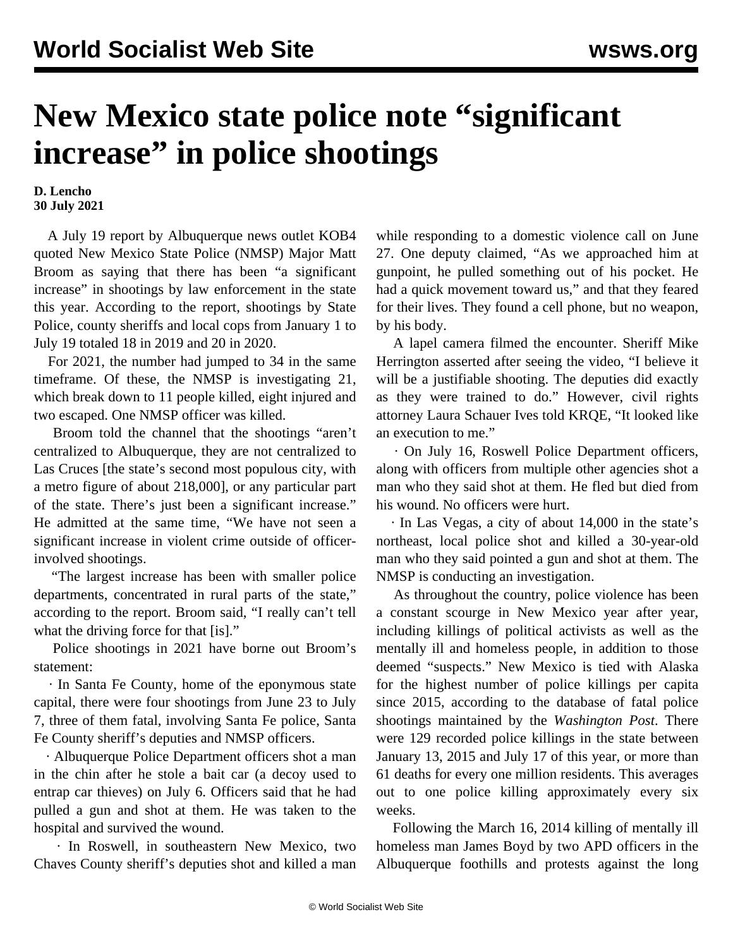## **New Mexico state police note "significant increase" in police shootings**

**D. Lencho 30 July 2021**

 A July 19 report by Albuquerque news outlet KOB4 quoted New Mexico State Police (NMSP) Major Matt Broom as saying that there has been "a significant increase" in shootings by law enforcement in the state this year. According to the report, shootings by State Police, county sheriffs and local cops from January 1 to July 19 totaled 18 in 2019 and 20 in 2020.

 For 2021, the number had jumped to 34 in the same timeframe. Of these, the NMSP is investigating 21, which break down to 11 people killed, eight injured and two escaped. One NMSP officer was killed.

 Broom told the channel that the shootings "aren't centralized to Albuquerque, they are not centralized to Las Cruces [the state's second most populous city, with a metro figure of about 218,000], or any particular part of the state. There's just been a significant increase." He admitted at the same time, "We have not seen a significant increase in violent crime outside of officerinvolved shootings.

 "The largest increase has been with smaller police departments, concentrated in rural parts of the state," according to the report. Broom said, "I really can't tell what the driving force for that [is]."

 Police shootings in 2021 have borne out Broom's statement:

 · In Santa Fe County, home of the eponymous state capital, there were four shootings from June 23 to July 7, three of them fatal, involving Santa Fe police, Santa Fe County sheriff's deputies and NMSP officers.

 · Albuquerque Police Department officers shot a man in the chin after he stole a bait car (a decoy used to entrap car thieves) on July 6. Officers said that he had pulled a gun and shot at them. He was taken to the hospital and survived the wound.

 · In Roswell, in southeastern New Mexico, two Chaves County sheriff's deputies shot and killed a man while responding to a domestic violence call on June 27. One deputy claimed, "As we approached him at gunpoint, he pulled something out of his pocket. He had a quick movement toward us," and that they feared for their lives. They found a cell phone, but no weapon, by his body.

 A lapel camera filmed the encounter. Sheriff Mike Herrington asserted after seeing the video, "I believe it will be a justifiable shooting. The deputies did exactly as they were trained to do." However, civil rights attorney Laura Schauer Ives told KRQE, "It looked like an execution to me."

 · On July 16, Roswell Police Department officers, along with officers from multiple other agencies shot a man who they said shot at them. He fled but died from his wound. No officers were hurt.

 · In Las Vegas, a city of about 14,000 in the state's northeast, local police shot and killed a 30-year-old man who they said pointed a gun and shot at them. The NMSP is conducting an investigation.

 As throughout the country, police violence has been a constant scourge in New Mexico year after year, including killings of political activists as well as the mentally ill and homeless people, in addition to those deemed "suspects." New Mexico is tied with Alaska for the highest number of police killings per capita since 2015, according to the database of fatal police shootings maintained by the *Washington Post*. There were 129 recorded police killings in the state between January 13, 2015 and July 17 of this year, or more than 61 deaths for every one million residents. This averages out to one police killing approximately every six weeks.

 Following the March 16, 2014 killing of mentally ill homeless man [James Boyd](/en/articles/2014/03/28/boyd-m27.html) by two APD officers in the Albuquerque foothills and protests against the long